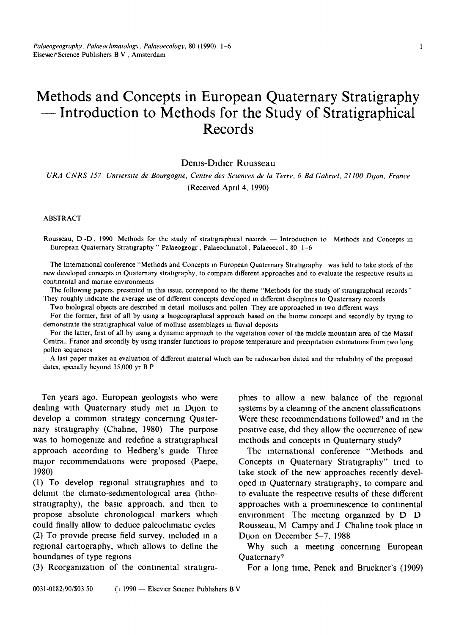# **Methods and Concepts in European Quaternary Stratigraphy -- Introduction to Methods for the Study of Stratigraphical Records**

#### Dems-Dldler Rousseau

*URA CNRS 157 Umverstte de Bourgogne, Centre des Scwnces de la Terre, 6 Bd Gabrwl, 21100 Dtjon, France*  (Received Aprd 4, 1990)

ABSTRACT

Rousseau, D-D, 1990 Methods for the study of stratigraphical records — Introduction to Methods and Concepts in European Quaternary Stratigraphy " Palaeogeogr, Palaeochmatol, Palaeoecol, 80 I-6

The International conference "Methods and Concepts m European Quaternary Stratigraphy was held to take stock of the new developed concepts in Quaternary stratigraphy, to compare different approaches and to evaluate the respective results in continental and marine environments

The following papers, presented in this issue, correspond to the theme "Methods for the study of stratigraphical records" They roughly indicate the average use of different concepts developed in different disciplines to Quaternary records

Two biological objects are described in detail molluscs and pollen They are approached in two different ways

For the former, first of all by using a biogeographical approach based on the biome concept and secondly by trying to demonstrate the stratigraphical value of mollusc assemblages in fluvial deposits

For the latter, first of all by using a dynamic approach to the vegetation cover of the middle mountain area of the Massif Central, France and secondly by using transfer functions to propose temperature and precipitation estimations from two long pollen sequences

A last paper makes an evaluation of different material which can be radiocarbon dated and the reliability of the proposed dates, specially beyond 35,000 yr B P

Ten years ago, European geologists who were dealing with Quaternary study met m Dijon to develop a common strategy concerning Quaternary stratigraphy (Chahne, 1980) The purpose was to homogenize and redefine a stratigraphical approach accordmg to Hedberg's guide Three major recommendations were proposed (Paepe, 1980)

(1) To develop regional stratlgraphles and to delimit the climato-sedimentological area (lithostratigraphy), the basic approach, and then to propose absolute chronological markers which could finally allow to deduce paleoclimatic cycles (2) To provide preose field survey, included in a regional cartography, which allows to define the boundaries of type regions

(3) Reorganization of the continental stratigra-

phies to allow a new balance of the regional systems by a cleaning of the ancient classifications Were these recommendations followed<sup>9</sup> and in the positive case, did they allow the occurrence of new methods and concepts in Quaternary study?

The international conference "Methods and Concepts in Quaternary Stratigraphy" tried to take stock of the new approaches recently developed m Quaternary stratigraphy, to compare and to evaluate the respective results of these different approaches with a proemlnescence to contmental environment The meeting orgamzed by D D Rousseau, M Campy and J Chahne took place m Dijon on December 5-7, 1988

Why such a meeting concerning European Quaternary9

For a long time, Penck and Bruckner's (1909)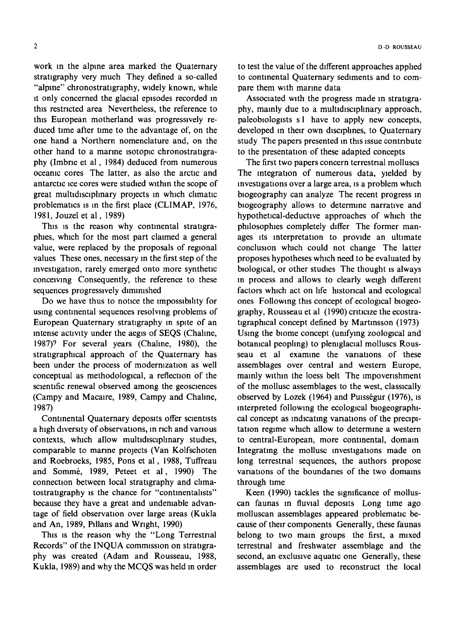work in the alpine area marked the Quaternary stratigraphy very much They defined a so-called "alpine" chronostratigraphy, widely known, while it only concerned the glacial episodes recorded in this restricted area Nevertheless, the reference to this European motherland was progressively reduced time after time to the advantage of, on the one hand a Northern nomenclature and, on the other hand to a marine isotopic chronostratigraphy (Imbrie et al, 1984) deduced from numerous oceanic cores The latter, as also the arctic and antarctic ice cores were studied within the scope of great multidisciplinary projects in which climatic problematics is in the first place (CLIMAP, 1976, 1981, Jouzel et al, 1989)

This is the reason why continental stratigraphies, which for the most part claimed a general value, were replaced by the proposals of regional values These ones, necessary in the first step of the investigation, rarely emerged onto more synthetic conceiving Consequently, the reference to these sequences progressively diminished

Do we have thus to notice the impossibility for using continental sequences resolving problems of European Quaternary stratigraphy in spite of an intense activity under the aegis of SEQS (Chahne, 1987)9 For several years (Chahne, 1980), the stratigraphical approach of the Quaternary has been under the process of modernization as well conceptual as methodological, a reflection of the scientific renewal observed among the geosciences (Campy and Macaire, 1989, Campy and Chahne, 1987)

Continental Quaternary deposits offer scientists a high diversity of observations, in rich and various contexts, which allow multidisciplinary studies, comparable to manne projects (Van Kolfschoten and Roebroeks, 1985, Pons et al, 1988, Tuffreau and Somm6, 1989, Peteet et al, 1990) The connection between local stratigraphy and climatostratigraphy is the chance for "continentalists" because they have a great and undeniable advantage of field observation over large areas (Kukla and An, 1989, PIllans and Wright, 1990)

This is the reason why the "Long Terrestrial Records" of the INQUA commission on stratigraphy was created (Adam and Rousseau, 1988, Kukla, 1989) and why the MCQS was held in order

to test the value of the different approaches apphed to continental Quaternary sediments and to compare them with marine data

Associated with the progress made in stratigraphy, mainly due to a multidisciplinary approach, paleobiologists s l have to apply new concepts, developed in their own disciplines, to Quaternary study The papers presented in this issue contribute to the presentation of these adapted concepts

The first two papers concern terrestrial molluscs The integration of numerous data, yielded by investigations over a large area, is a problem which blogeography can analyze The recent progress in blogeography allows to determine narrative and hypothetical-deductive approaches of which the philosophies completely differ The former manages its interpretation to provide an ultimate conclusion which could not change The latter proposes hypotheses which need to be evaluated by biological, or other studies The thought is always in process and allows to clearly weigh different factors which act on life historical and ecological ones Following this concept of ecological biogeography, Rousseau et al (1990) criticize the ecostratigraphical concept defined by Martinsson (1973) Using the blome concept (unifying zoological and botanical peopling) to pleniglacial molluscs Rousseau et al examine the variations of these assemblages over central and western Europe, mainly within the loess belt The impoverishment of the mollusc assemblages to the west, classically observed by Lozek (1964) and Puisségur (1976), is interpreted following the ecological blogeographical concept as indicating variations of the precipitation regime which allow to determine a western to central-European, more continental, domain Integrating the mollusc investigations made on long terrestrial sequences, the authors propose variations of the boundaries of the two domains through time

Keen (1990) tackles the significance of molluscan faunas in fluvial deposits Long time ago molluscan assemblages appeared problematic because of their components Generally, these faunas belong to two main groups the first, a mixed terrestrial and freshwater assemblage and the second, an exclusive aquatic one Generally, these assemblages are used to reconstruct the local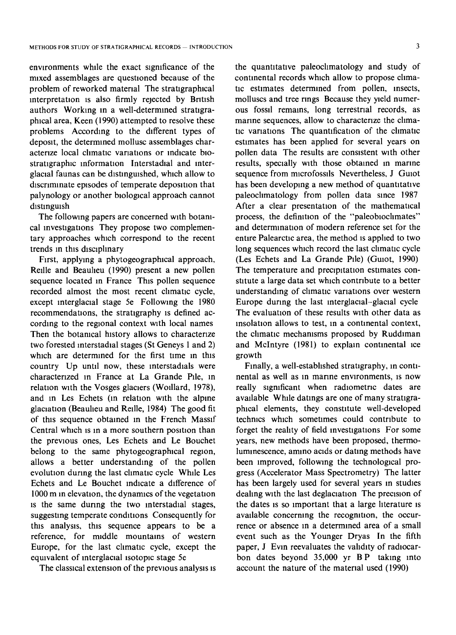environments whde the exact slgmficance of the mixed assemblages are questioned because of the problem of reworked material The stratigraphical interpretation is also firmly rejected by British authors Working in a well-determined stratigraphical area, Keen (1990) attempted to resolve these problems According to the different types of depostt, the determined mollusc assemblages charactenze local climatic variations or indicate blostratigraphic information Interstadial and interglacial faunas can be distinguished, which allow to discriminate episodes of temperate deposition that palynology or another biological approach cannot distinguish

The followmg papers are concerned with botamcal investigations They propose two complementary approaches which correspond to the recent trends in this disciplinary

First, applying a phytogeographical approach, Redle and Beauheu (1990) present a new pollen sequence located in France This pollen sequence recorded almost the most recent climatic cycle, except interglacial stage 5e Following the 1980 recommendations, the stratigraphy is defined according to the regional context with local names Then the botanical history allows to characterize two forested interstadial stages (St Geneys 1 and 2) which are determined for the first time in this country Up until now, these interstadials were characterized in France at La Grande Pile, in relation with the Vosges glaciers (Wodlard, 1978), and in Les Echets (in relation with the alpine glaciation (Beaulieu and Reille, 1984) The good fit of this sequence obtained in the French Massif Central which is in a more southern position than the previous ones, Les Echets and Le Bouchet belong to the same phytogeographical region, allows a better understanding of the pollen evolution during the last climatic cycle While Les Echets and Le Bouchet indicate a difference of 1000 m in elevation, the dynamics of the vegetation is the same during the two interstadial stages, suggesting temperate conditions Consequently for this analysis, this sequence appears to be a reference, for middle mountains of western Europe, for the last climatic cycle, except the equivalent of interglacial isotopic stage 5e

The classical extension of the previous analysis is

the quantitative paleoclimatology and study of continental records which allow to propose climatic estimates determined from pollen, insects, molluscs and tree rings Because they yield numerous fossd remains, long terrestrial records, as marine sequences, allow to characterize the climatic variations The quantification of the climatic estimates has been apphed for several years on pollen data The results are consistent with other results, specially with those obtained in marine sequence from microfossils Nevertheless, J Guiot has been developing a new method of quantitative paleochmatology from pollen data since 1987 After a clear presentation of the mathematical process, the definition of the "paleobioclimates" and determination of modern reference set for the entire Palearctic area, the method is applied to two long sequences which record the last climatic cycle (Les Echets and La Grande Pile) (Guiot, 1990) The temperature and precipitation estimates constitute a large data set which contribute to a better understanding of climatic variations over western Europe during the last interglacial-glacial cycle The evaluation of these results with other data as insolation allows to test, in a continental context, the climatic mechanisms proposed by Ruddiman and Mclntyre (1981) to explain continental ice growth

Finally, a well-estabhshed stratigraphy, m continental as well as in marine environments, is now really significant when radiometric dates are available While datings are one of many stratigraphical elements, they constitute well-developed techmcs which sometimes could contribute to forget the reahty of field investigations For some years, new methods have been proposed, thermoluminescence, amino acids or dating methods have been improved, following the technological progress (Accelerator Mass Spectrometry) The latter has been largely used for several years in studies dealing with the last deglaciation. The precision of the dates is so important that a large literature is available concerning the recognition, the occurrence or absence m a determined area of a small event such as the Younger Dryas In the fifth paper, J Evin reevaluates the validity of radiocarbon dates beyond 35,000 yr BP taking into account the nature of the material used (1990)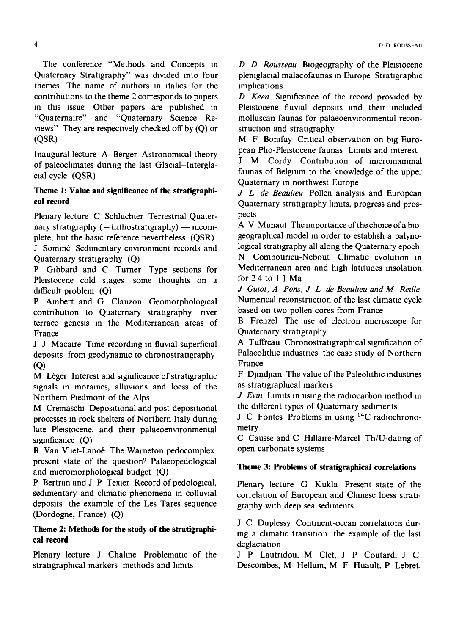The conference "Methods and Concepts m Quaternary Stratigraphy" was divided into four themes The name of authors in italics for the contributions to the theme 2 corresponds to papers m this issue Other papers are pubhshed in "Quaternalre" and "Quaternary Science Reviews" They are respectively checked off by (Q) or (QSR)

Inaugural lecture A Berger Astronomical theory of paleochmates during the last Glacial-Interglacial cycle (QSR)

### **Theme 1: Value and significance of the stratigraphical record**

Plenary lecture C Schluchter Terrestrial Quaternary stratigraphy  $($  = Lithostratigraphy $)$  -- incomplete, but the basic reference nevertheless (QSR) J Sommé Sedimentary environment records and

Quaternary stratigraphy (Q)

P Glbbard and C Turner Type sections for Pleistocene cold stages some thoughts on a difficult problem (Q)

P Ambert and G Clauzon Geomorphological contribution to Quaternary stratigraphy river terrace genesis in the Mediterranean areas of France

J J Macaire Time recording in fluvial superficial deposits from geodynamic to chronostratigraphy (Q)

M Léger Interest and significance of stratigraphic signals in moraines, alluvions and loess of the Northern Piedmont of the Alps

M Cremaschi Depositional and post-depositional processes in rock shelters of Northern Italy during late Pleistocene, and their palaeoenvironmental significance  $(Q)$ 

B Van Vliet-Lanoé The Warneton pedocomplex present state of the question? Palaeopedological and micromorphological budget  $(Q)$ 

P Bertran and J P Texier Record of pedological, sedimentary and climatic phenomena in colluvial deposits the example of the Les Tares sequence (Dordogne, France) (Q)

### **Theme 2: Methods for the study of the stratigraphicai record**

Plenary lecture J Chaline Problematic of the stratigraphical markers methods and limits

*D D Rousseau* Blogeography of the Pleistocene plemglacial malacofaunas in Europe Stratigraphic lmphcatlons

*D Keen* Slgmficance of the record provided by Pleistocene fluvial deposits and their included molluscan faunas for palaeoenvironmental reconstruction and stratigraphy

M F Bomfay Critical observation on big European Pho-Pleistocene faunas Limits and interest

J M Cordy Contribution of micromammal faunas of Belgium to the knowledge of the upper Quaternary m northwest Europe

*J L de Beauheu* Pollen analysis and European Quaternary stratigraphy limits, progress and prospects

A V Munaut The importance of the choice ofa biogeographical model in order to estabhsh a palynological stratigraphy all along the Quaternary epoch N Combourieu-Nebout Climatic evolution in Mediterranean area and high latitudes insolation for 24 to 11Ma

*J Gutot, A Pons, J L de Beauheu and M Rellle*  Numerical reconstruction of the last climatic cycle based on two pollen cores from France

B Frenzel The use of electron microscope for Quaternary stratigraphy

A Tuffreau Chronostratigraphical signification of Palaeolithic industries the case study of Northern France

F Djlndjlan The value of the Paleolithic mdustnes as stratigraphical markers

*J Evin* Limits in using the radiocarbon method in the different types of Quaternary sediments

J C Fontes Problems in using <sup>14</sup>C radiochronometry

C Causse and C Hdlalre-Marcel Th/U-datmg of open carbonate systems

## **Theme 3: Problems of stratigraphical correlations**

Plenary lecture G Kukla Present state of the correlation of European and Chinese loess stratigraphy with deep sea sediments

J C Duplessy Continent-ocean correlations during a climatic transition the example of the last deglaciation

J P Lautrldou, M Clet, J P Coutard, J C Descombes, M Helium, M F Huault, P Lebret,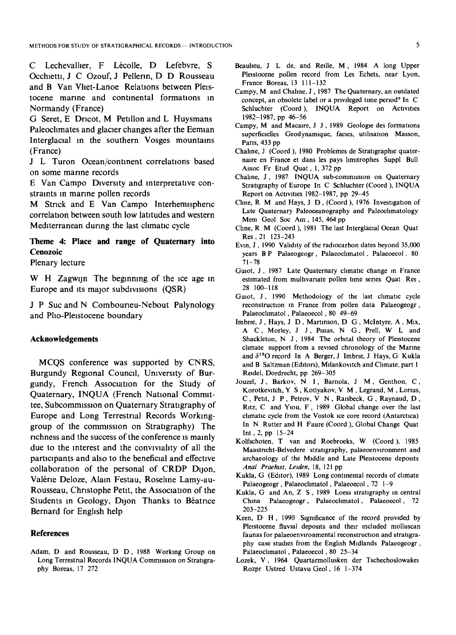C Lechevallier, F Lécolle, D Lefebvre, S Occhietti, J C Ozouf, J Pellerin, D D Rousseau and B Van Vllet-Lanoe Relations between Pleistocene marme and continental formations m Normandy (France)

G Seret, E Dricot, M Petillon and L Huysmans Paleoclimates and glacier changes after the Eemian Interglacial in the southern Vosges mountains (France)

J L Turon Ocean/continent correlations based on some marine records

E Van Campo Diversity and mterpretatwe constraints in marine pollen records

M Strick and E Van Campo Interhemispheric correlation between south low latitudes and western Mediterranean during the last climatic cycle

## **Theme 4: Place and range of Quaternary into Cenozoic**

Plenary lecture

W H Zagwijn The beginning of the ice age in Europe and its major subdivisions (QSR)

J P Suc and N Combouneu-Nebout Palynology and Plio-Pleistocene boundary

#### **Acknowledgements**

MCQS conference was supported by CNRS, Burgundy Regional Council, University of Burgundy, French Association for the Study of Quaternary, INQUA (French National Committee, Subcommission on Quaternary Stratigraphy of Europe and Long Terrestrial Records Workinggroup of the commission on Stratigraphy) The richness and the success of the conference is mainly due to the interest and the conviviality of all the participants and also to the beneficial and effectwe collaboration of the personal of CRDP Dijon, Valérie Deloze, Alain Festau, Roseline Lamy-au-Rousseau, Christophe Petit, the Association of the Students in Geology, Dijon Thanks to Béatrice Bernard for Enghsh help

#### **References**

Adam, D and Rousseau, D D, 1988 Working Group on Long Terrestnal Records INQUA Commission on Stratigraphy Boreas, 17 272

- Beaulieu, J L de, and Reille, M, 1984 A long Upper Pleistocene pollen record from Les Echets, near Lyon, France Boreas, 13 111-132
- Campy, M and Chahne, J, 1987 The Quaternary, an outdated concept, an obsolete label or a privileged time period? In C Schluchter (Coord), INQUA Report on Activities 1982-1987, pp 46-56
- Campy, M and Macaire, J J, 1989 Geologie des formations superficielles Geodynamique, facies, utilisation Masson, Pans, 433 pp
- Chaline, J (Coord), 1980 Problemes de Stratigraphie quaternaire en France et dans les pays limitrophes Suppl Bull Assoc Fr Etud Quat, 1,372 pp
- Chahne, J, 1987 INQUA sub-commission on Quaternary Stratigraphy of Europe In C Schluchter (Coord), INQUA Report on Activities 1982-1987, pp 29-45
- Cline, R M and Hays, J D, (Coord), 1976 Investigation of Late Quaternary Paleoceanography and Paleochmatology Mem Geol Soc Am, 145, 464 pp
- Cline, R M (Coord), 1981 The last Interglacial Ocean Quat Res, 21 123-243
- Evm, J, 1990 Validity of the radiocarbon dates beyond 35,000 years B P Palaeogeogr, Palaeochmatol, Palaeoecol, 80 71-78
- Guiot, J, 1987 Late Quaternary climatic change in France estimated from multwanate pollen time series Quat Res, 28 100-118
- Guiot, J. 1990 Methodology of the last climatic cycle reconstruction m France from pollen data Palaeogeogr, Palaeoclimatol, Palaeoecol, 80 49-69
- Imbrie, J., Hays, J. D., Martinson, D. G., McIntyre, A., Mix, A C, Morley, J J, PlSlaS, N G, Prell, W L and Shackleton, N J, 1984 The orbital theory of Pleistocene chmate support from a rewsed chronology of the Marme and  $\delta^{18}$ O record In A Berger, J Imbrie, J Hays, G Kukla and B Saltzman (Editors), Milankovitch and Climate, part 1 Reidel, Dordrecht, pp 269-305
- Jouzel, J, Barkov, N I, Barnola, J M, Genthon, C, Korotkevitch, Y S, Kotlyakov, V M, Legrand, M, Lorius, C, Petit, J P, Petrov, V N, Ralsbeck, G, Raynaud, D, Ritz, C and Ylou, F, 1989 Global change over the last chmatic cycle from the Vostok ice core record (Antarctica) In N Rutter and H Faure (Coord), Global Change Quat Int, 2, pp 15-24
- Kolfschoten, T van and Roebroeks, W (Coord), 1985 Maastricht-Belvedere stratigraphy, palaeoenvironment and archaeology of the Middle and Late Pleistocene deposits *Anal Praehtst, Letden,* 18, 121 pp
- Kukla, G (Editor), 1989 Long continental records of chmate Palaeogeogr, Palaeochmatol, Palaeoecol, 72 1-9
- Kukla, G and An, Z S, 1989 Loess stratigraphy m central China Palaeogeogr, Palaeoclimatol, Palaeoecol, 72 203-225
- Keen, D H, 1990 Sigmficance of the record provided by Pleistocene fluvial deposits and their included molluscan faunas for palaeoenvironmental reconstruction and stratigraphy case studies from the English Midlands Palaeogeogr, Palaeoclimatol, Palaeoecol, 80 25-34
- Lozek, V, 1964 Quartarmollusken der Tschechoslowakei Rozpr Ustred Ustavu Geol, 16 1-374